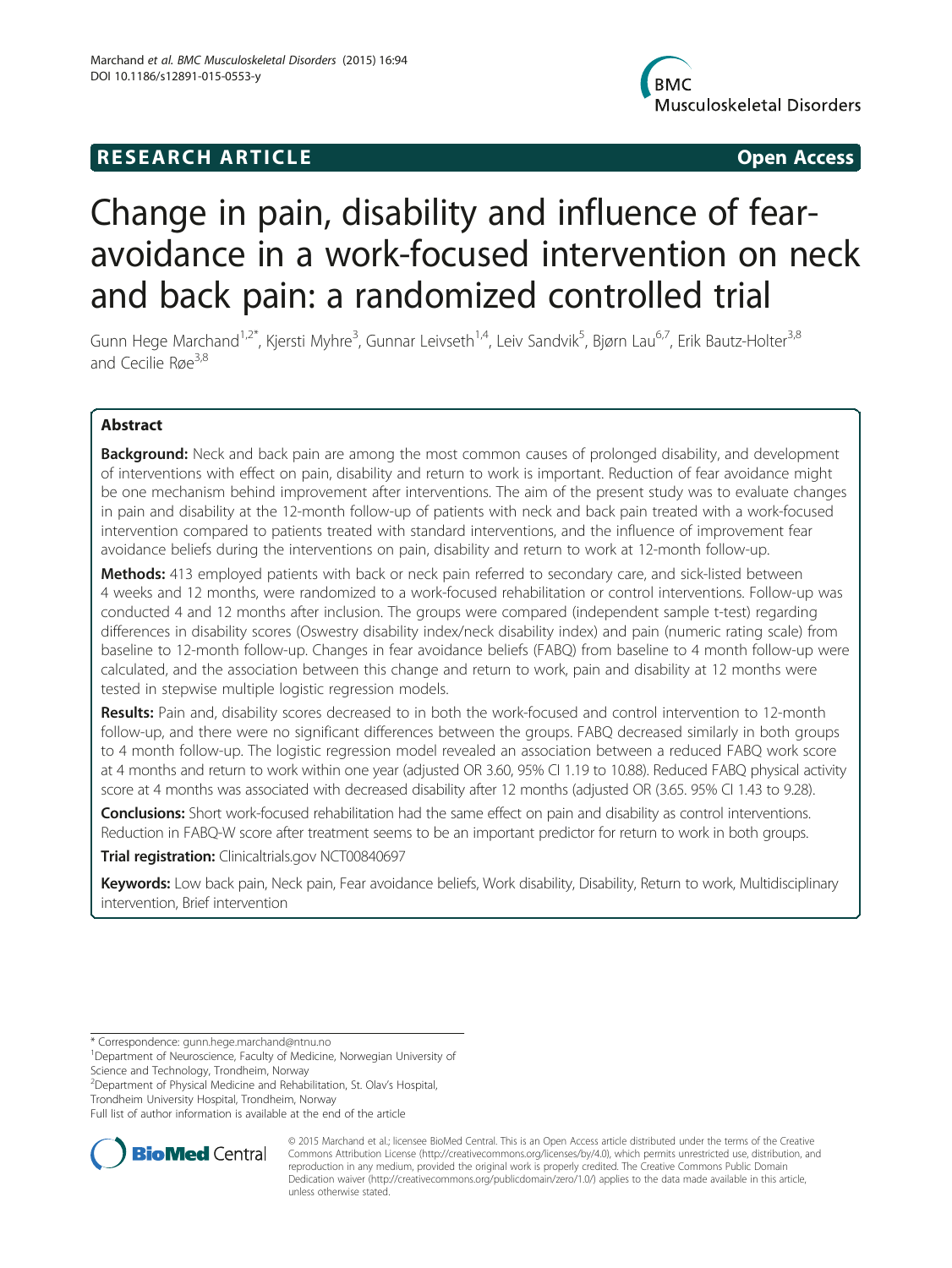# R E S EAR CH A R TIC L E Open Access



# Change in pain, disability and influence of fearavoidance in a work-focused intervention on neck and back pain: a randomized controlled trial

Gunn Hege Marchand<sup>1,2\*</sup>, Kjersti Myhre<sup>3</sup>, Gunnar Leivseth<sup>1,4</sup>, Leiv Sandvik<sup>5</sup>, Bjørn Lau<sup>6,7</sup>, Erik Bautz-Holter<sup>3,8</sup> and Cecilie Røe<sup>3,8</sup>

# Abstract

**Background:** Neck and back pain are among the most common causes of prolonged disability, and development of interventions with effect on pain, disability and return to work is important. Reduction of fear avoidance might be one mechanism behind improvement after interventions. The aim of the present study was to evaluate changes in pain and disability at the 12-month follow-up of patients with neck and back pain treated with a work-focused intervention compared to patients treated with standard interventions, and the influence of improvement fear avoidance beliefs during the interventions on pain, disability and return to work at 12-month follow-up.

Methods: 413 employed patients with back or neck pain referred to secondary care, and sick-listed between 4 weeks and 12 months, were randomized to a work-focused rehabilitation or control interventions. Follow-up was conducted 4 and 12 months after inclusion. The groups were compared (independent sample t-test) regarding differences in disability scores (Oswestry disability index/neck disability index) and pain (numeric rating scale) from baseline to 12-month follow-up. Changes in fear avoidance beliefs (FABQ) from baseline to 4 month follow-up were calculated, and the association between this change and return to work, pain and disability at 12 months were tested in stepwise multiple logistic regression models.

Results: Pain and, disability scores decreased to in both the work-focused and control intervention to 12-month follow-up, and there were no significant differences between the groups. FABQ decreased similarly in both groups to 4 month follow-up. The logistic regression model revealed an association between a reduced FABQ work score at 4 months and return to work within one year (adjusted OR 3.60, 95% CI 1.19 to 10.88). Reduced FABQ physical activity score at 4 months was associated with decreased disability after 12 months (adjusted OR (3.65. 95% CI 1.43 to 9.28).

Conclusions: Short work-focused rehabilitation had the same effect on pain and disability as control interventions. Reduction in FABQ-W score after treatment seems to be an important predictor for return to work in both groups.

Trial registration: Clinicaltrials.gov [NCT00840697](https://clinicaltrials.gov/ct2/show/NCT00840697?term=NCT00840697&rank=1)

Keywords: Low back pain, Neck pain, Fear avoidance beliefs, Work disability, Disability, Return to work, Multidisciplinary intervention, Brief intervention

2 Department of Physical Medicine and Rehabilitation, St. Olav's Hospital, Trondheim University Hospital, Trondheim, Norway

Full list of author information is available at the end of the article



© 2015 Marchand et al.; licensee BioMed Central. This is an Open Access article distributed under the terms of the Creative Commons Attribution License [\(http://creativecommons.org/licenses/by/4.0\)](http://creativecommons.org/licenses/by/4.0), which permits unrestricted use, distribution, and reproduction in any medium, provided the original work is properly credited. The Creative Commons Public Domain Dedication waiver [\(http://creativecommons.org/publicdomain/zero/1.0/](http://creativecommons.org/publicdomain/zero/1.0/)) applies to the data made available in this article, unless otherwise stated.

<sup>\*</sup> Correspondence: [gunn.hege.marchand@ntnu.no](mailto:gunn.hege.marchand@ntnu.no) <sup>1</sup>

<sup>&</sup>lt;sup>1</sup>Department of Neuroscience, Faculty of Medicine, Norwegian University of Science and Technology, Trondheim, Norway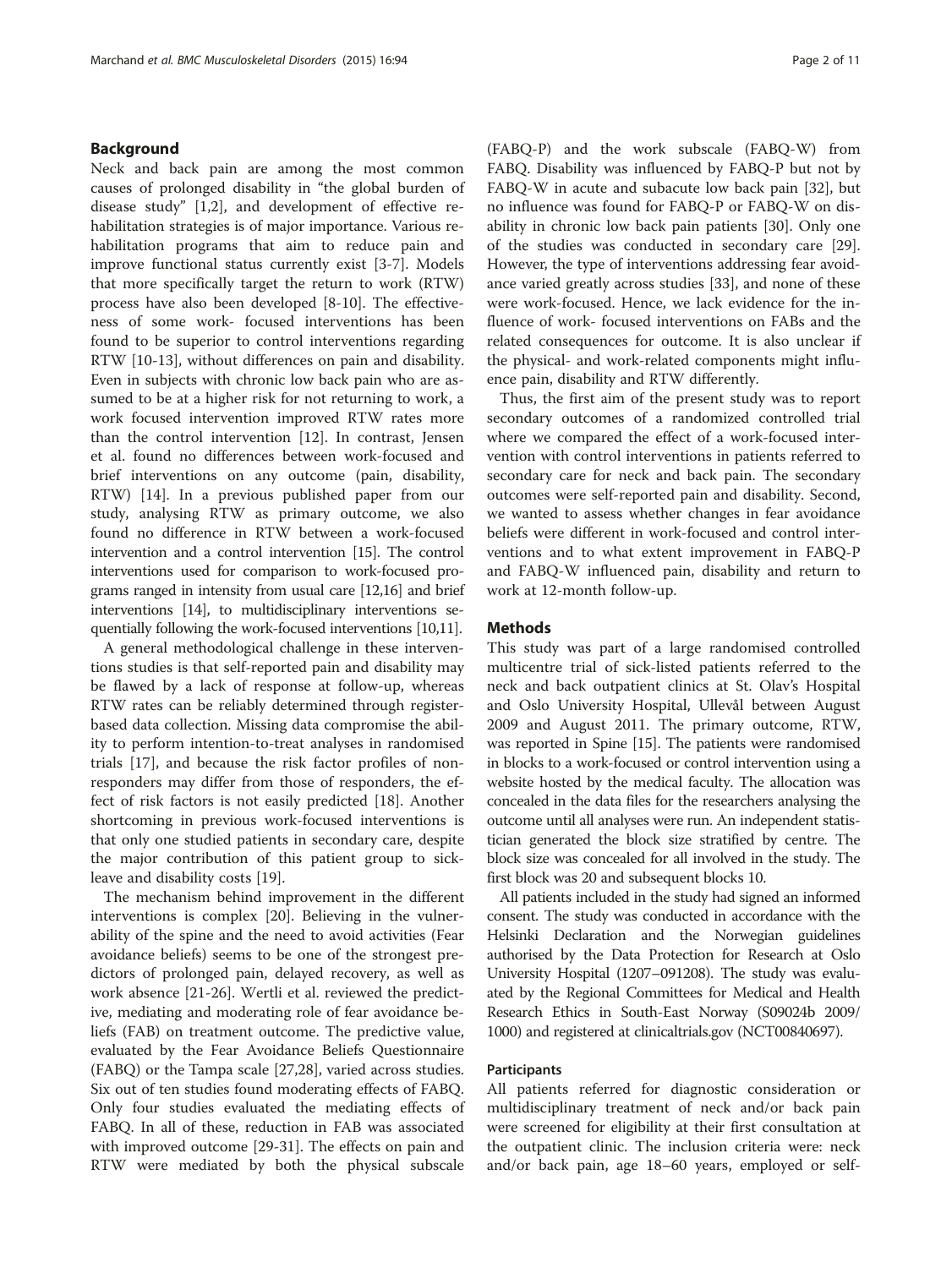## Background

Neck and back pain are among the most common causes of prolonged disability in "the global burden of disease study" [[1,2\]](#page-9-0), and development of effective rehabilitation strategies is of major importance. Various rehabilitation programs that aim to reduce pain and improve functional status currently exist [\[3-7](#page-9-0)]. Models that more specifically target the return to work (RTW) process have also been developed [\[8](#page-9-0)-[10\]](#page-9-0). The effectiveness of some work- focused interventions has been found to be superior to control interventions regarding RTW [\[10](#page-9-0)-[13\]](#page-9-0), without differences on pain and disability. Even in subjects with chronic low back pain who are assumed to be at a higher risk for not returning to work, a work focused intervention improved RTW rates more than the control intervention [\[12\]](#page-9-0). In contrast, Jensen et al. found no differences between work-focused and brief interventions on any outcome (pain, disability, RTW) [\[14\]](#page-9-0). In a previous published paper from our study, analysing RTW as primary outcome, we also found no difference in RTW between a work-focused intervention and a control intervention [[15](#page-9-0)]. The control interventions used for comparison to work-focused programs ranged in intensity from usual care [\[12,16](#page-9-0)] and brief interventions [\[14](#page-9-0)], to multidisciplinary interventions sequentially following the work-focused interventions [[10,11](#page-9-0)].

A general methodological challenge in these interventions studies is that self-reported pain and disability may be flawed by a lack of response at follow-up, whereas RTW rates can be reliably determined through registerbased data collection. Missing data compromise the ability to perform intention-to-treat analyses in randomised trials [\[17](#page-9-0)], and because the risk factor profiles of nonresponders may differ from those of responders, the effect of risk factors is not easily predicted [\[18](#page-9-0)]. Another shortcoming in previous work-focused interventions is that only one studied patients in secondary care, despite the major contribution of this patient group to sickleave and disability costs [\[19](#page-9-0)].

The mechanism behind improvement in the different interventions is complex [\[20\]](#page-9-0). Believing in the vulnerability of the spine and the need to avoid activities (Fear avoidance beliefs) seems to be one of the strongest predictors of prolonged pain, delayed recovery, as well as work absence [[21-](#page-9-0)[26\]](#page-10-0). Wertli et al. reviewed the predictive, mediating and moderating role of fear avoidance beliefs (FAB) on treatment outcome. The predictive value, evaluated by the Fear Avoidance Beliefs Questionnaire (FABQ) or the Tampa scale [[27,28](#page-10-0)], varied across studies. Six out of ten studies found moderating effects of FABQ. Only four studies evaluated the mediating effects of FABQ. In all of these, reduction in FAB was associated with improved outcome [\[29](#page-10-0)-[31\]](#page-10-0). The effects on pain and RTW were mediated by both the physical subscale

(FABQ-P) and the work subscale (FABQ-W) from FABQ. Disability was influenced by FABQ-P but not by FABQ-W in acute and subacute low back pain [\[32](#page-10-0)], but no influence was found for FABQ-P or FABQ-W on disability in chronic low back pain patients [[30\]](#page-10-0). Only one of the studies was conducted in secondary care [\[29](#page-10-0)]. However, the type of interventions addressing fear avoidance varied greatly across studies [\[33\]](#page-10-0), and none of these were work-focused. Hence, we lack evidence for the influence of work- focused interventions on FABs and the related consequences for outcome. It is also unclear if the physical- and work-related components might influence pain, disability and RTW differently.

Thus, the first aim of the present study was to report secondary outcomes of a randomized controlled trial where we compared the effect of a work-focused intervention with control interventions in patients referred to secondary care for neck and back pain. The secondary outcomes were self-reported pain and disability. Second, we wanted to assess whether changes in fear avoidance beliefs were different in work-focused and control interventions and to what extent improvement in FABQ-P and FABQ-W influenced pain, disability and return to work at 12-month follow-up.

# **Methods**

This study was part of a large randomised controlled multicentre trial of sick-listed patients referred to the neck and back outpatient clinics at St. Olav's Hospital and Oslo University Hospital, Ullevål between August 2009 and August 2011. The primary outcome, RTW, was reported in Spine [[15](#page-9-0)]. The patients were randomised in blocks to a work-focused or control intervention using a website hosted by the medical faculty. The allocation was concealed in the data files for the researchers analysing the outcome until all analyses were run. An independent statistician generated the block size stratified by centre. The block size was concealed for all involved in the study. The first block was 20 and subsequent blocks 10.

All patients included in the study had signed an informed consent. The study was conducted in accordance with the Helsinki Declaration and the Norwegian guidelines authorised by the Data Protection for Research at Oslo University Hospital (1207–091208). The study was evaluated by the Regional Committees for Medical and Health Research Ethics in South-East Norway (S09024b 2009/ 1000) and registered at clinicaltrials.gov (NCT00840697).

## Participants

All patients referred for diagnostic consideration or multidisciplinary treatment of neck and/or back pain were screened for eligibility at their first consultation at the outpatient clinic. The inclusion criteria were: neck and/or back pain, age 18–60 years, employed or self-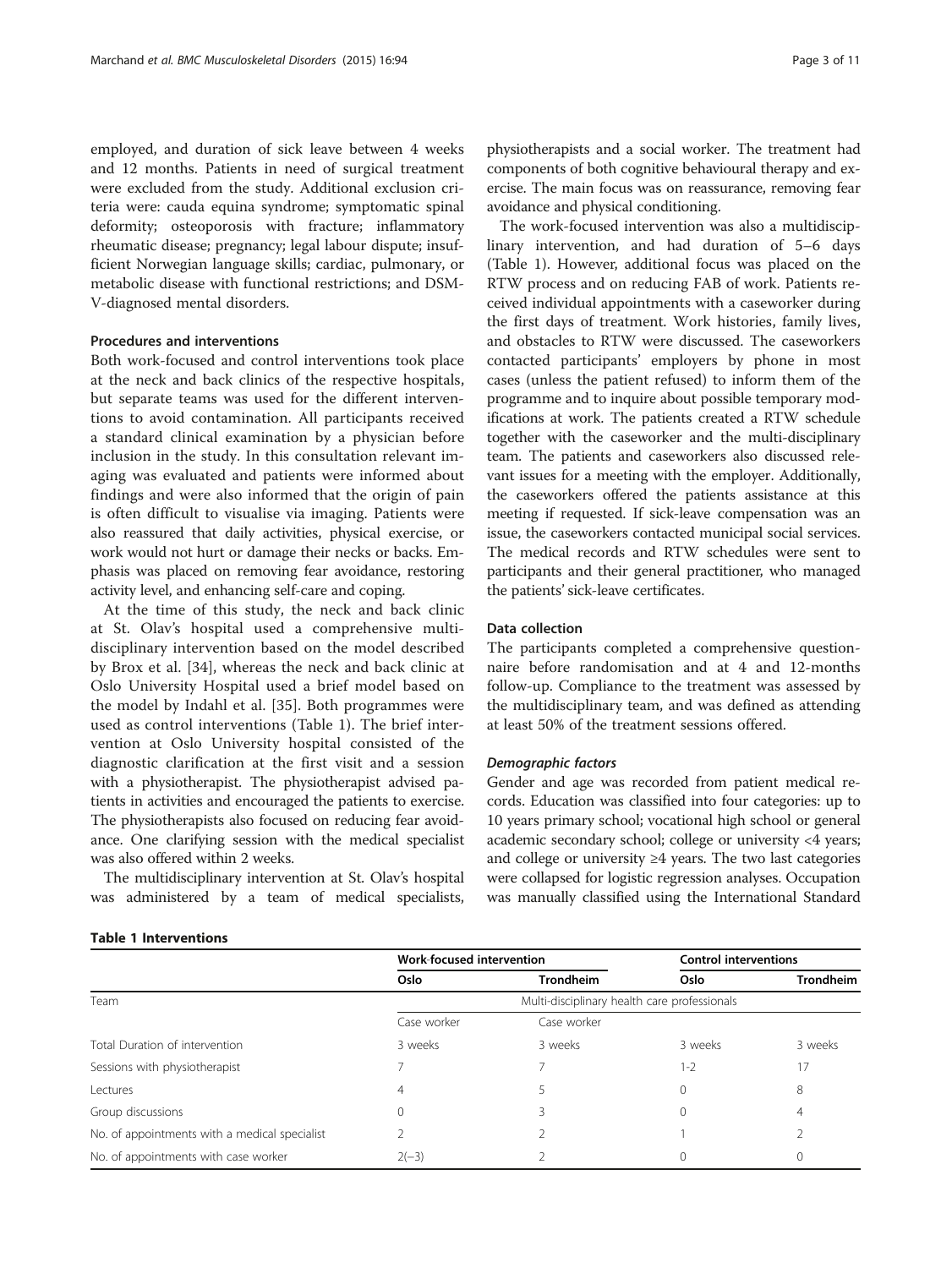employed, and duration of sick leave between 4 weeks and 12 months. Patients in need of surgical treatment were excluded from the study. Additional exclusion criteria were: cauda equina syndrome; symptomatic spinal deformity; osteoporosis with fracture; inflammatory rheumatic disease; pregnancy; legal labour dispute; insufficient Norwegian language skills; cardiac, pulmonary, or metabolic disease with functional restrictions; and DSM-V-diagnosed mental disorders.

#### Procedures and interventions

Both work-focused and control interventions took place at the neck and back clinics of the respective hospitals, but separate teams was used for the different interventions to avoid contamination. All participants received a standard clinical examination by a physician before inclusion in the study. In this consultation relevant imaging was evaluated and patients were informed about findings and were also informed that the origin of pain is often difficult to visualise via imaging. Patients were also reassured that daily activities, physical exercise, or work would not hurt or damage their necks or backs. Emphasis was placed on removing fear avoidance, restoring activity level, and enhancing self-care and coping.

At the time of this study, the neck and back clinic at St. Olav's hospital used a comprehensive multidisciplinary intervention based on the model described by Brox et al. [\[34](#page-10-0)], whereas the neck and back clinic at Oslo University Hospital used a brief model based on the model by Indahl et al. [[35](#page-10-0)]. Both programmes were used as control interventions (Table 1). The brief intervention at Oslo University hospital consisted of the diagnostic clarification at the first visit and a session with a physiotherapist. The physiotherapist advised patients in activities and encouraged the patients to exercise. The physiotherapists also focused on reducing fear avoidance. One clarifying session with the medical specialist was also offered within 2 weeks.

The multidisciplinary intervention at St. Olav's hospital was administered by a team of medical specialists,

physiotherapists and a social worker. The treatment had components of both cognitive behavioural therapy and exercise. The main focus was on reassurance, removing fear avoidance and physical conditioning.

The work-focused intervention was also a multidisciplinary intervention, and had duration of 5–6 days (Table 1). However, additional focus was placed on the RTW process and on reducing FAB of work. Patients received individual appointments with a caseworker during the first days of treatment. Work histories, family lives, and obstacles to RTW were discussed. The caseworkers contacted participants' employers by phone in most cases (unless the patient refused) to inform them of the programme and to inquire about possible temporary modifications at work. The patients created a RTW schedule together with the caseworker and the multi-disciplinary team. The patients and caseworkers also discussed relevant issues for a meeting with the employer. Additionally, the caseworkers offered the patients assistance at this meeting if requested. If sick-leave compensation was an issue, the caseworkers contacted municipal social services. The medical records and RTW schedules were sent to participants and their general practitioner, who managed the patients' sick-leave certificates.

#### Data collection

The participants completed a comprehensive questionnaire before randomisation and at 4 and 12-months follow-up. Compliance to the treatment was assessed by the multidisciplinary team, and was defined as attending at least 50% of the treatment sessions offered.

# Demographic factors

Gender and age was recorded from patient medical records. Education was classified into four categories: up to 10 years primary school; vocational high school or general academic secondary school; college or university <4 years; and college or university ≥4 years. The two last categories were collapsed for logistic regression analyses. Occupation was manually classified using the International Standard

#### Table 1 Interventions

|                                               |                                                                                 |                                              | <b>Control interventions</b> |                  |
|-----------------------------------------------|---------------------------------------------------------------------------------|----------------------------------------------|------------------------------|------------------|
|                                               | Oslo                                                                            | <b>Trondheim</b>                             | Oslo                         | <b>Trondheim</b> |
| Team                                          | Work-focused intervention<br>Case worker<br>3 weeks<br>4<br>$\Omega$<br>$2(-3)$ | Multi-disciplinary health care professionals |                              |                  |
|                                               |                                                                                 | Case worker                                  |                              |                  |
| Total Duration of intervention                |                                                                                 | 3 weeks                                      | 3 weeks                      | 3 weeks          |
| Sessions with physiotherapist                 |                                                                                 |                                              | 1-2                          | 17               |
| Lectures                                      |                                                                                 |                                              | 0                            | 8                |
| Group discussions                             |                                                                                 | 3                                            | $\Omega$                     | 4                |
| No. of appointments with a medical specialist |                                                                                 |                                              |                              |                  |
| No. of appointments with case worker          |                                                                                 |                                              |                              |                  |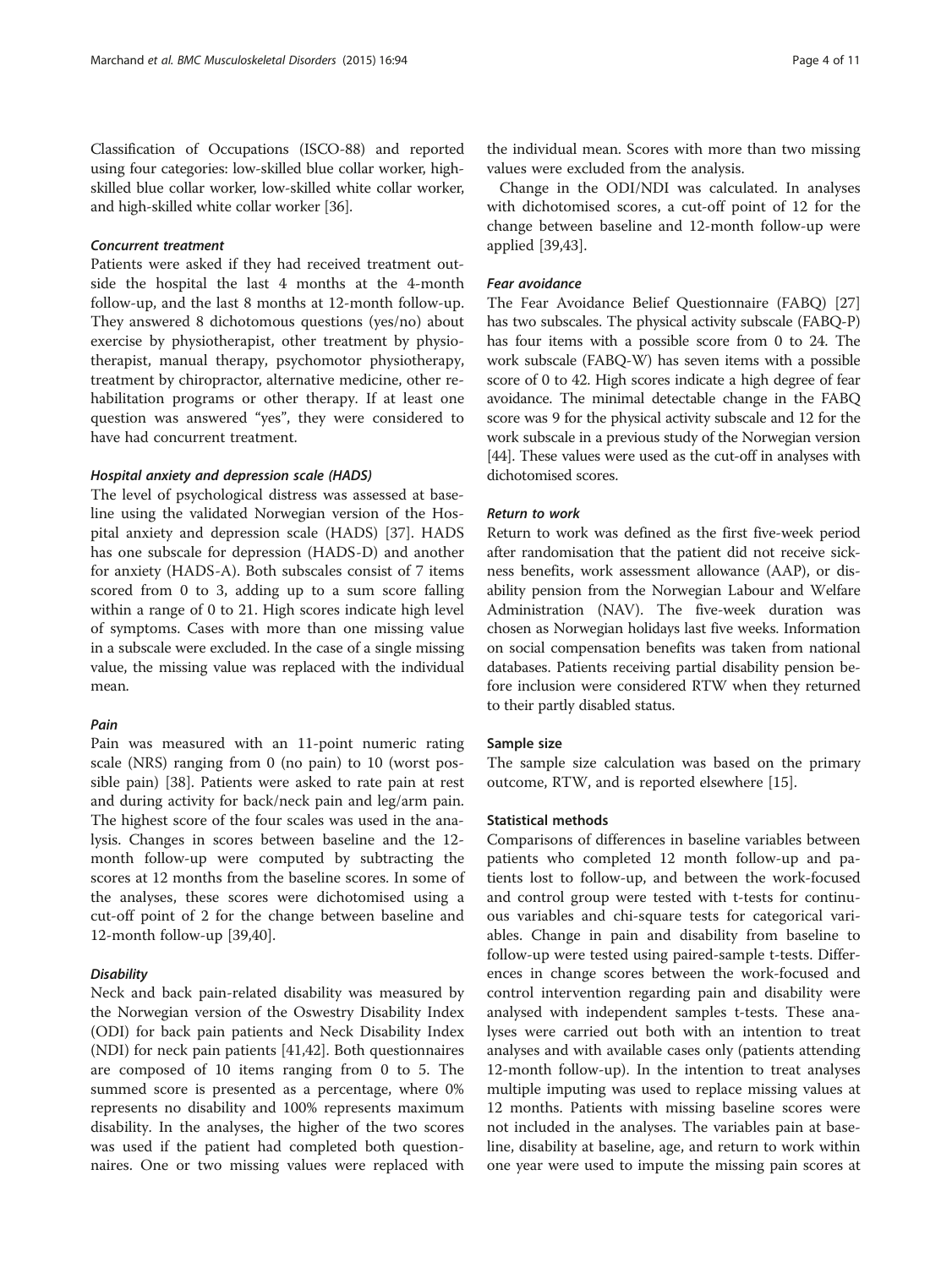Classification of Occupations (ISCO-88) and reported using four categories: low-skilled blue collar worker, highskilled blue collar worker, low-skilled white collar worker, and high-skilled white collar worker [\[36\]](#page-10-0).

#### Concurrent treatment

Patients were asked if they had received treatment outside the hospital the last 4 months at the 4-month follow-up, and the last 8 months at 12-month follow-up. They answered 8 dichotomous questions (yes/no) about exercise by physiotherapist, other treatment by physiotherapist, manual therapy, psychomotor physiotherapy, treatment by chiropractor, alternative medicine, other rehabilitation programs or other therapy. If at least one question was answered "yes", they were considered to have had concurrent treatment.

# Hospital anxiety and depression scale (HADS)

The level of psychological distress was assessed at baseline using the validated Norwegian version of the Hospital anxiety and depression scale (HADS) [\[37\]](#page-10-0). HADS has one subscale for depression (HADS-D) and another for anxiety (HADS-A). Both subscales consist of 7 items scored from 0 to 3, adding up to a sum score falling within a range of 0 to 21. High scores indicate high level of symptoms. Cases with more than one missing value in a subscale were excluded. In the case of a single missing value, the missing value was replaced with the individual mean.

#### Pain

Pain was measured with an 11-point numeric rating scale (NRS) ranging from 0 (no pain) to 10 (worst possible pain) [[38](#page-10-0)]. Patients were asked to rate pain at rest and during activity for back/neck pain and leg/arm pain. The highest score of the four scales was used in the analysis. Changes in scores between baseline and the 12 month follow-up were computed by subtracting the scores at 12 months from the baseline scores. In some of the analyses, these scores were dichotomised using a cut-off point of 2 for the change between baseline and 12-month follow-up [[39,40](#page-10-0)].

#### Disability

Neck and back pain-related disability was measured by the Norwegian version of the Oswestry Disability Index (ODI) for back pain patients and Neck Disability Index (NDI) for neck pain patients [\[41,42\]](#page-10-0). Both questionnaires are composed of 10 items ranging from 0 to 5. The summed score is presented as a percentage, where 0% represents no disability and 100% represents maximum disability. In the analyses, the higher of the two scores was used if the patient had completed both questionnaires. One or two missing values were replaced with

the individual mean. Scores with more than two missing values were excluded from the analysis.

Change in the ODI/NDI was calculated. In analyses with dichotomised scores, a cut-off point of 12 for the change between baseline and 12-month follow-up were applied [\[39,43](#page-10-0)].

#### Fear avoidance

The Fear Avoidance Belief Questionnaire (FABQ) [[27](#page-10-0)] has two subscales. The physical activity subscale (FABQ-P) has four items with a possible score from 0 to 24. The work subscale (FABQ-W) has seven items with a possible score of 0 to 42. High scores indicate a high degree of fear avoidance. The minimal detectable change in the FABQ score was 9 for the physical activity subscale and 12 for the work subscale in a previous study of the Norwegian version [[44](#page-10-0)]. These values were used as the cut-off in analyses with dichotomised scores.

## Return to work

Return to work was defined as the first five-week period after randomisation that the patient did not receive sickness benefits, work assessment allowance (AAP), or disability pension from the Norwegian Labour and Welfare Administration (NAV). The five-week duration was chosen as Norwegian holidays last five weeks. Information on social compensation benefits was taken from national databases. Patients receiving partial disability pension before inclusion were considered RTW when they returned to their partly disabled status.

#### Sample size

The sample size calculation was based on the primary outcome, RTW, and is reported elsewhere [[15\]](#page-9-0).

# Statistical methods

Comparisons of differences in baseline variables between patients who completed 12 month follow-up and patients lost to follow-up, and between the work-focused and control group were tested with t-tests for continuous variables and chi-square tests for categorical variables. Change in pain and disability from baseline to follow-up were tested using paired-sample t-tests. Differences in change scores between the work-focused and control intervention regarding pain and disability were analysed with independent samples t-tests. These analyses were carried out both with an intention to treat analyses and with available cases only (patients attending 12-month follow-up). In the intention to treat analyses multiple imputing was used to replace missing values at 12 months. Patients with missing baseline scores were not included in the analyses. The variables pain at baseline, disability at baseline, age, and return to work within one year were used to impute the missing pain scores at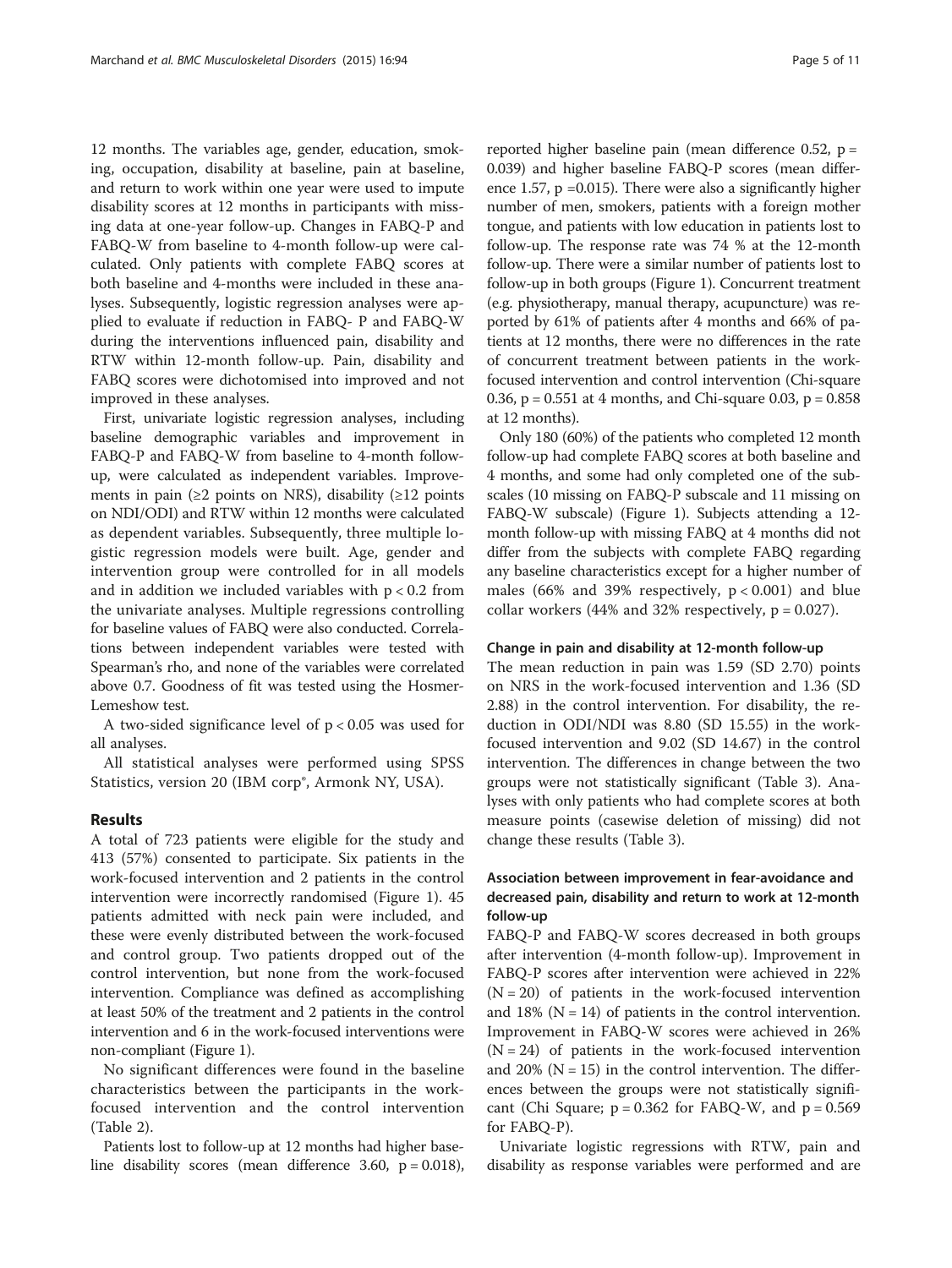12 months. The variables age, gender, education, smoking, occupation, disability at baseline, pain at baseline, and return to work within one year were used to impute disability scores at 12 months in participants with missing data at one-year follow-up. Changes in FABQ-P and FABQ-W from baseline to 4-month follow-up were calculated. Only patients with complete FABQ scores at both baseline and 4-months were included in these analyses. Subsequently, logistic regression analyses were applied to evaluate if reduction in FABQ- P and FABQ-W during the interventions influenced pain, disability and RTW within 12-month follow-up. Pain, disability and FABQ scores were dichotomised into improved and not improved in these analyses.

First, univariate logistic regression analyses, including baseline demographic variables and improvement in FABQ-P and FABQ-W from baseline to 4-month followup, were calculated as independent variables. Improvements in pain ( $\geq$ 2 points on NRS), disability ( $\geq$ 12 points on NDI/ODI) and RTW within 12 months were calculated as dependent variables. Subsequently, three multiple logistic regression models were built. Age, gender and intervention group were controlled for in all models and in addition we included variables with  $p < 0.2$  from the univariate analyses. Multiple regressions controlling for baseline values of FABQ were also conducted. Correlations between independent variables were tested with Spearman's rho, and none of the variables were correlated above 0.7. Goodness of fit was tested using the Hosmer-Lemeshow test.

A two-sided significance level of  $p < 0.05$  was used for all analyses.

All statistical analyses were performed using SPSS Statistics, version 20 (IBM corp®, Armonk NY, USA).

# Results

A total of 723 patients were eligible for the study and 413 (57%) consented to participate. Six patients in the work-focused intervention and 2 patients in the control intervention were incorrectly randomised (Figure [1\)](#page-5-0). 45 patients admitted with neck pain were included, and these were evenly distributed between the work-focused and control group. Two patients dropped out of the control intervention, but none from the work-focused intervention. Compliance was defined as accomplishing at least 50% of the treatment and 2 patients in the control intervention and 6 in the work-focused interventions were non-compliant (Figure [1](#page-5-0)).

No significant differences were found in the baseline characteristics between the participants in the workfocused intervention and the control intervention (Table [2\)](#page-6-0).

Patients lost to follow-up at 12 months had higher baseline disability scores (mean difference 3.60,  $p = 0.018$ ),

reported higher baseline pain (mean difference 0.52, p = 0.039) and higher baseline FABQ-P scores (mean difference 1.57, p =0.015). There were also a significantly higher number of men, smokers, patients with a foreign mother tongue, and patients with low education in patients lost to follow-up. The response rate was 74 % at the 12-month follow-up. There were a similar number of patients lost to follow-up in both groups (Figure [1\)](#page-5-0). Concurrent treatment (e.g. physiotherapy, manual therapy, acupuncture) was reported by 61% of patients after 4 months and 66% of patients at 12 months, there were no differences in the rate of concurrent treatment between patients in the workfocused intervention and control intervention (Chi-square 0.36,  $p = 0.551$  at 4 months, and Chi-square 0.03,  $p = 0.858$ at 12 months).

Only 180 (60%) of the patients who completed 12 month follow-up had complete FABQ scores at both baseline and 4 months, and some had only completed one of the subscales (10 missing on FABQ-P subscale and 11 missing on FABQ-W subscale) (Figure [1](#page-5-0)). Subjects attending a 12 month follow-up with missing FABQ at 4 months did not differ from the subjects with complete FABQ regarding any baseline characteristics except for a higher number of males (66% and 39% respectively,  $p < 0.001$ ) and blue collar workers (44% and 32% respectively,  $p = 0.027$ ).

#### Change in pain and disability at 12-month follow-up

The mean reduction in pain was 1.59 (SD 2.70) points on NRS in the work-focused intervention and 1.36 (SD 2.88) in the control intervention. For disability, the reduction in ODI/NDI was 8.80 (SD 15.55) in the workfocused intervention and 9.02 (SD 14.67) in the control intervention. The differences in change between the two groups were not statistically significant (Table [3\)](#page-6-0). Analyses with only patients who had complete scores at both measure points (casewise deletion of missing) did not change these results (Table [3](#page-6-0)).

# Association between improvement in fear-avoidance and decreased pain, disability and return to work at 12-month follow-up

FABQ-P and FABQ-W scores decreased in both groups after intervention (4-month follow-up). Improvement in FABQ-P scores after intervention were achieved in 22%  $(N = 20)$  of patients in the work-focused intervention and 18% ( $N = 14$ ) of patients in the control intervention. Improvement in FABQ-W scores were achieved in 26%  $(N = 24)$  of patients in the work-focused intervention and 20% ( $N = 15$ ) in the control intervention. The differences between the groups were not statistically significant (Chi Square;  $p = 0.362$  for FABQ-W, and  $p = 0.569$ for FABQ-P).

Univariate logistic regressions with RTW, pain and disability as response variables were performed and are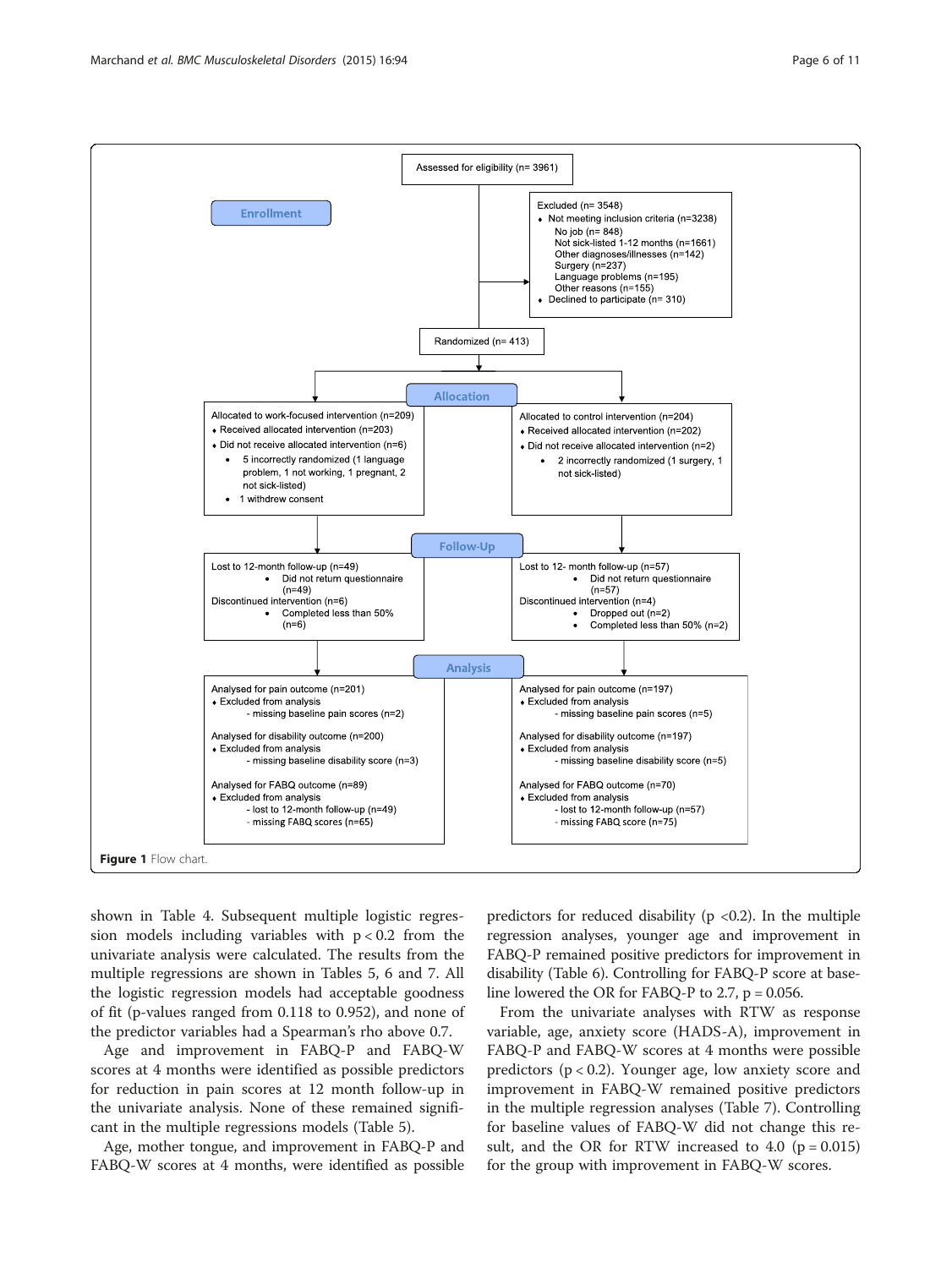<span id="page-5-0"></span>

shown in Table [4.](#page-7-0) Subsequent multiple logistic regression models including variables with  $p < 0.2$  from the univariate analysis were calculated. The results from the multiple regressions are shown in Tables [5](#page-7-0), [6](#page-7-0) and [7.](#page-8-0) All the logistic regression models had acceptable goodness of fit (p-values ranged from 0.118 to 0.952), and none of the predictor variables had a Spearman's rho above 0.7.

Age and improvement in FABQ-P and FABQ-W scores at 4 months were identified as possible predictors for reduction in pain scores at 12 month follow-up in the univariate analysis. None of these remained significant in the multiple regressions models (Table [5](#page-7-0)).

Age, mother tongue, and improvement in FABQ-P and FABQ-W scores at 4 months, were identified as possible

predictors for reduced disability ( $p$  <0.2). In the multiple regression analyses, younger age and improvement in FABQ-P remained positive predictors for improvement in disability (Table [6\)](#page-7-0). Controlling for FABQ-P score at baseline lowered the OR for FABQ-P to 2.7,  $p = 0.056$ .

From the univariate analyses with RTW as response variable, age, anxiety score (HADS-A), improvement in FABQ-P and FABQ-W scores at 4 months were possible predictors (p < 0.2). Younger age, low anxiety score and improvement in FABQ-W remained positive predictors in the multiple regression analyses (Table [7](#page-8-0)). Controlling for baseline values of FABQ-W did not change this result, and the OR for RTW increased to 4.0 ( $p = 0.015$ ) for the group with improvement in FABQ-W scores.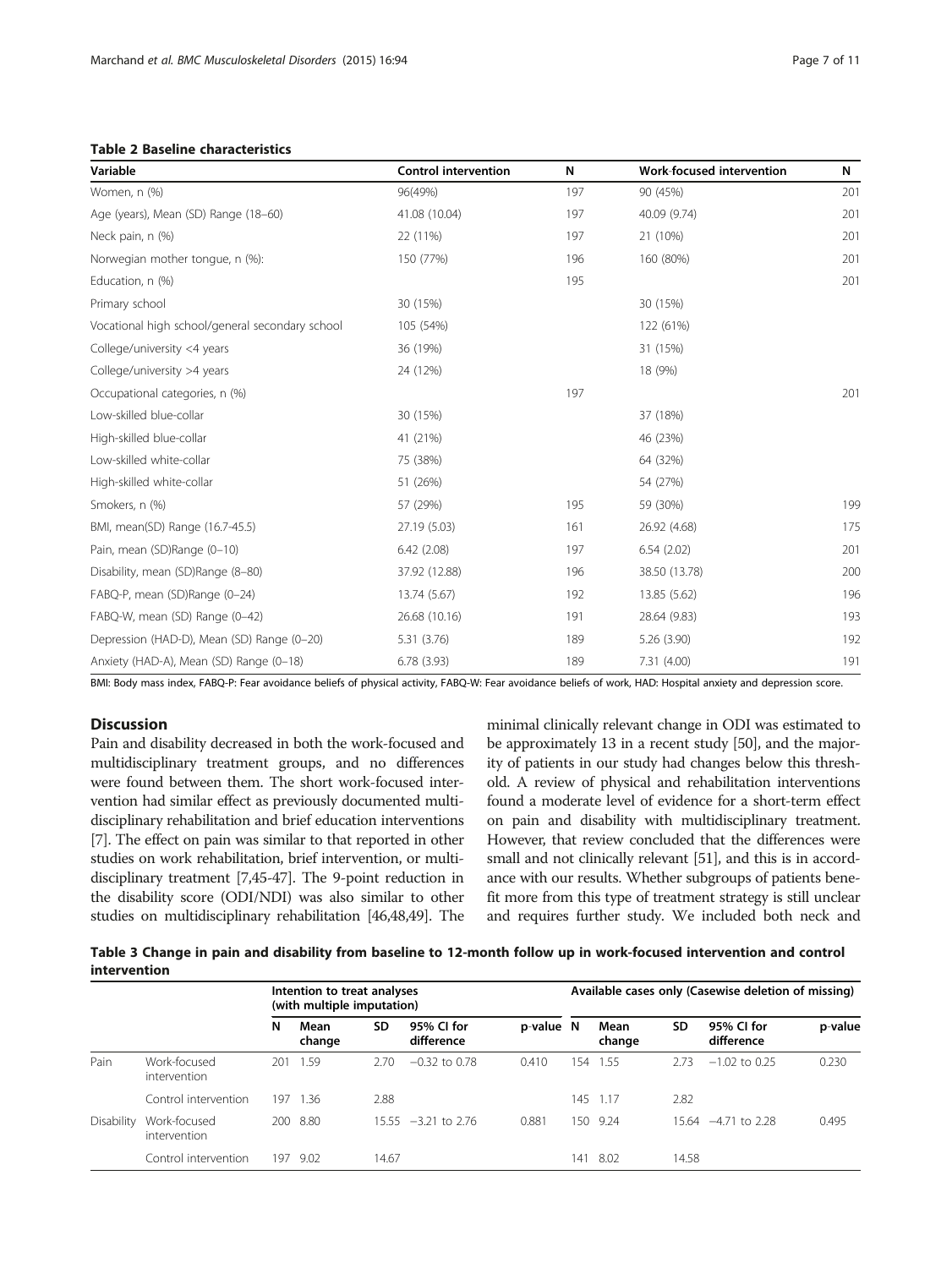<span id="page-6-0"></span>Table 2 Baseline characteristics

| Page 7 of 1 |  |  |  |
|-------------|--|--|--|
|-------------|--|--|--|

| Variable                                        | <b>Control intervention</b> | N   | <b>Work-focused intervention</b> | N   |
|-------------------------------------------------|-----------------------------|-----|----------------------------------|-----|
| Women, n (%)                                    | 96(49%)                     | 197 | 90 (45%)                         | 201 |
| Age (years), Mean (SD) Range (18-60)            | 41.08 (10.04)               | 197 | 40.09 (9.74)                     | 201 |
| Neck pain, n (%)                                | 22 (11%)                    | 197 | 21 (10%)                         | 201 |
| Norwegian mother tongue, n (%):                 | 150 (77%)                   | 196 | 160 (80%)                        | 201 |
| Education, n (%)                                |                             | 195 |                                  | 201 |
| Primary school                                  | 30 (15%)                    |     | 30 (15%)                         |     |
| Vocational high school/general secondary school | 105 (54%)                   |     | 122 (61%)                        |     |
| College/university <4 years                     | 36 (19%)                    |     | 31 (15%)                         |     |
| College/university >4 years                     | 24 (12%)                    |     | 18 (9%)                          |     |
| Occupational categories, n (%)                  |                             | 197 |                                  | 201 |
| Low-skilled blue-collar                         | 30 (15%)                    |     | 37 (18%)                         |     |
| High-skilled blue-collar                        | 41 (21%)                    |     | 46 (23%)                         |     |
| Low-skilled white-collar                        | 75 (38%)                    |     | 64 (32%)                         |     |
| High-skilled white-collar                       | 51 (26%)                    |     | 54 (27%)                         |     |
| Smokers, n (%)                                  | 57 (29%)                    | 195 | 59 (30%)                         | 199 |
| BMI, mean(SD) Range (16.7-45.5)                 | 27.19 (5.03)                | 161 | 26.92 (4.68)                     | 175 |
| Pain, mean (SD)Range (0-10)                     | 6.42(2.08)                  | 197 | 6.54(2.02)                       | 201 |
| Disability, mean (SD)Range (8-80)               | 37.92 (12.88)               | 196 | 38.50 (13.78)                    | 200 |
| FABQ-P, mean (SD)Range (0-24)                   | 13.74 (5.67)                | 192 | 13.85 (5.62)                     | 196 |
| FABQ-W, mean (SD) Range (0-42)                  | 26.68 (10.16)               | 191 | 28.64 (9.83)                     | 193 |
| Depression (HAD-D), Mean (SD) Range (0-20)      | 5.31 (3.76)                 | 189 | 5.26 (3.90)                      | 192 |
| Anxiety (HAD-A), Mean (SD) Range (0-18)         | 6.78(3.93)                  | 189 | 7.31(4.00)                       | 191 |

BMI: Body mass index, FABQ-P: Fear avoidance beliefs of physical activity, FABQ-W: Fear avoidance beliefs of work, HAD: Hospital anxiety and depression score.

# Discussion

Pain and disability decreased in both the work-focused and multidisciplinary treatment groups, and no differences were found between them. The short work-focused intervention had similar effect as previously documented multidisciplinary rehabilitation and brief education interventions [[7](#page-9-0)]. The effect on pain was similar to that reported in other studies on work rehabilitation, brief intervention, or multidisciplinary treatment [[7,](#page-9-0)[45](#page-10-0)-[47](#page-10-0)]. The 9-point reduction in the disability score (ODI/NDI) was also similar to other studies on multidisciplinary rehabilitation [[46,48,49](#page-10-0)]. The

minimal clinically relevant change in ODI was estimated to be approximately 13 in a recent study [[50](#page-10-0)], and the majority of patients in our study had changes below this threshold. A review of physical and rehabilitation interventions found a moderate level of evidence for a short-term effect on pain and disability with multidisciplinary treatment. However, that review concluded that the differences were small and not clinically relevant [[51](#page-10-0)], and this is in accordance with our results. Whether subgroups of patients benefit more from this type of treatment strategy is still unclear and requires further study. We included both neck and

| Table 3 Change in pain and disability from baseline to 12-month follow up in work-focused intervention and control |  |
|--------------------------------------------------------------------------------------------------------------------|--|
| <i>intervention</i>                                                                                                |  |

|            |                              |     | Intention to treat analyses<br>(with multiple imputation) |       |                          |           | Available cases only (Casewise deletion of missing) |                |       |                          |         |
|------------|------------------------------|-----|-----------------------------------------------------------|-------|--------------------------|-----------|-----------------------------------------------------|----------------|-------|--------------------------|---------|
|            |                              | N   | Mean<br>change                                            | SD    | 95% CI for<br>difference | p-value N |                                                     | Mean<br>change | SD    | 95% CI for<br>difference | p-value |
| Pain       | Work-focused<br>intervention | 201 | 1.59                                                      | 2.70  | $-0.32$ to 0.78          | 0.410     | 154                                                 | 1.55           | 2.73  | $-1.02$ to 0.25          | 0.230   |
|            | Control intervention         | 197 | 1.36                                                      | 2.88  |                          |           | 145                                                 | 1.17           | 2.82  |                          |         |
| Disability | Work-focused<br>intervention | 200 | 8.80                                                      | 15.55 | $-3.21$ to 2.76          | 0.881     | 150                                                 | 9.24           |       | 15.64 - 4.71 to 2.28     | 0.495   |
|            | Control intervention         | 197 | 9.02                                                      | 14.67 |                          |           | 141                                                 | -8.02          | 14.58 |                          |         |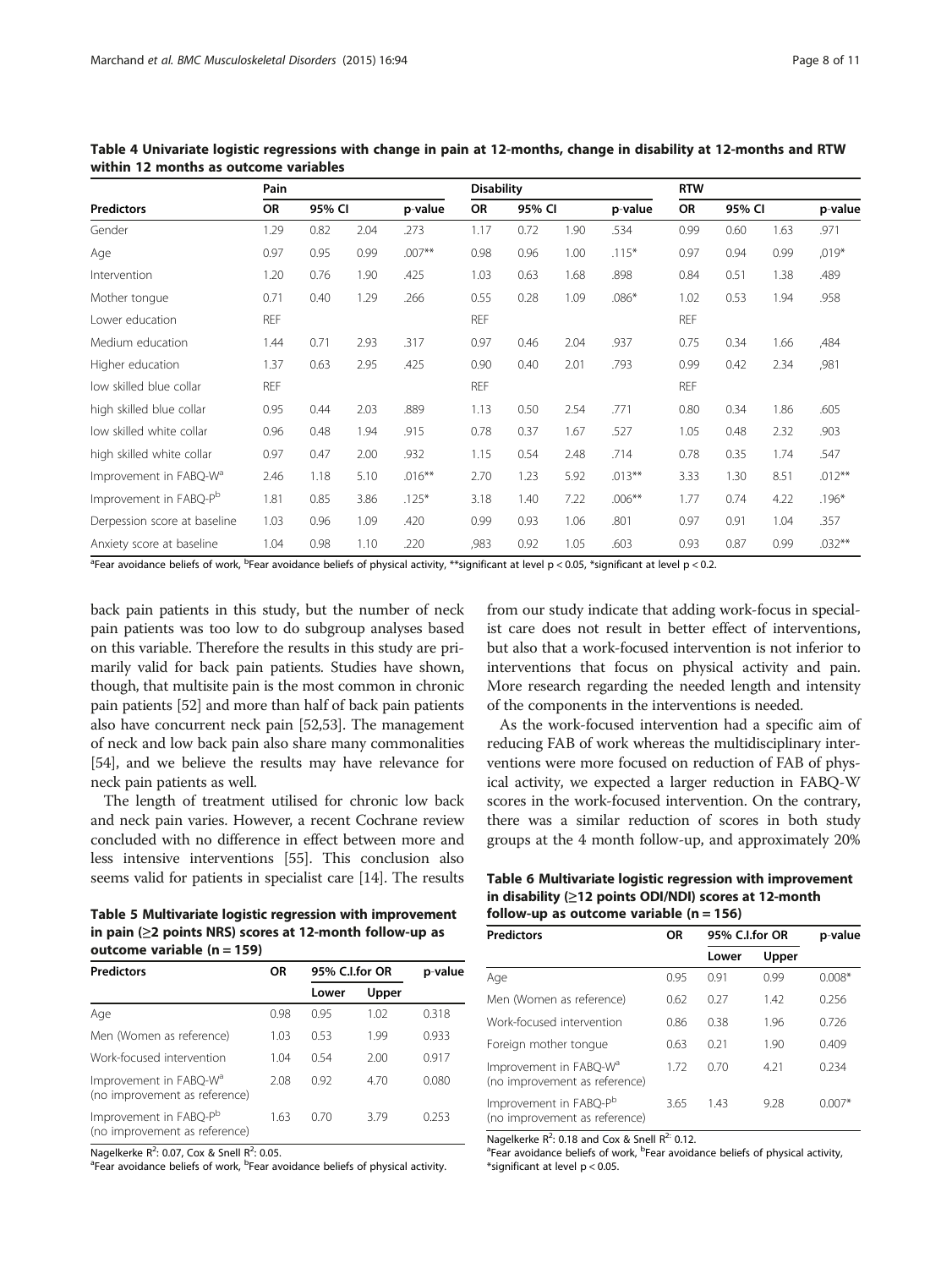|                                    | Pain       |        |      |           | <b>Disability</b> |        |      |           | <b>RTW</b> |        |      |           |
|------------------------------------|------------|--------|------|-----------|-------------------|--------|------|-----------|------------|--------|------|-----------|
| <b>Predictors</b>                  | OR         | 95% CI |      | p-value   | <b>OR</b>         | 95% CI |      | p-value   | <b>OR</b>  | 95% CI |      | p-value   |
| Gender                             | 1.29       | 0.82   | 2.04 | .273      | 1.17              | 0.72   | 1.90 | .534      | 0.99       | 0.60   | 1.63 | .971      |
| Age                                | 0.97       | 0.95   | 0.99 | $.007**$  | 0.98              | 0.96   | 1.00 | $.115*$   | 0.97       | 0.94   | 0.99 | $,019*$   |
| Intervention                       | 1.20       | 0.76   | 1.90 | .425      | 1.03              | 0.63   | 1.68 | .898      | 0.84       | 0.51   | 1.38 | .489      |
| Mother tonque                      | 0.71       | 0.40   | 1.29 | .266      | 0.55              | 0.28   | 1.09 | $.086*$   | 1.02       | 0.53   | 1.94 | .958      |
| Lower education                    | <b>REF</b> |        |      |           | <b>REF</b>        |        |      |           | <b>REF</b> |        |      |           |
| Medium education                   | 1.44       | 0.71   | 2.93 | .317      | 0.97              | 0.46   | 2.04 | .937      | 0.75       | 0.34   | 1.66 | ,484      |
| Higher education                   | 1.37       | 0.63   | 2.95 | .425      | 0.90              | 0.40   | 2.01 | .793      | 0.99       | 0.42   | 2.34 | ,981      |
| low skilled blue collar            | <b>REF</b> |        |      |           | <b>REF</b>        |        |      |           | <b>REF</b> |        |      |           |
| high skilled blue collar           | 0.95       | 0.44   | 2.03 | .889      | 1.13              | 0.50   | 2.54 | .771      | 0.80       | 0.34   | 1.86 | .605      |
| low skilled white collar           | 0.96       | 0.48   | 1.94 | .915      | 0.78              | 0.37   | 1.67 | .527      | 1.05       | 0.48   | 2.32 | .903      |
| high skilled white collar          | 0.97       | 0.47   | 2.00 | .932      | 1.15              | 0.54   | 2.48 | .714      | 0.78       | 0.35   | 1.74 | .547      |
| Improvement in FABQ-W <sup>d</sup> | 2.46       | 1.18   | 5.10 | $.016***$ | 2.70              | 1.23   | 5.92 | $.013***$ | 3.33       | 1.30   | 8.51 | $.012***$ |
| Improvement in FABQ-P <sup>b</sup> | 1.81       | 0.85   | 3.86 | $.125*$   | 3.18              | 1.40   | 7.22 | $.006***$ | 1.77       | 0.74   | 4.22 | $.196*$   |
| Derpession score at baseline       | 1.03       | 0.96   | 1.09 | .420      | 0.99              | 0.93   | 1.06 | .801      | 0.97       | 0.91   | 1.04 | .357      |
| Anxiety score at baseline          | 1.04       | 0.98   | 1.10 | .220      | ,983              | 0.92   | 1.05 | .603      | 0.93       | 0.87   | 0.99 | $.032***$ |

<span id="page-7-0"></span>Table 4 Univariate logistic regressions with change in pain at 12-months, change in disability at 12-months and RTW within 12 months as outcome variables

<sup>a</sup>Fear avoidance beliefs of work, <sup>b</sup>Fear avoidance beliefs of physical activity, \*\*significant at level p < 0.05, \*significant at level p < 0.2.

back pain patients in this study, but the number of neck pain patients was too low to do subgroup analyses based on this variable. Therefore the results in this study are primarily valid for back pain patients. Studies have shown, though, that multisite pain is the most common in chronic pain patients [[52](#page-10-0)] and more than half of back pain patients also have concurrent neck pain [\[52,53](#page-10-0)]. The management of neck and low back pain also share many commonalities [[54](#page-10-0)], and we believe the results may have relevance for neck pain patients as well.

The length of treatment utilised for chronic low back and neck pain varies. However, a recent Cochrane review concluded with no difference in effect between more and less intensive interventions [[55](#page-10-0)]. This conclusion also seems valid for patients in specialist care [\[14](#page-9-0)]. The results

| Table 5 Multivariate logistic regression with improvement     |
|---------------------------------------------------------------|
| in pain $(\geq 2$ points NRS) scores at 12-month follow-up as |
| outcome variable (n = 159)                                    |

| <b>Predictors</b>                                                   | <b>OR</b> | 95% C.I.for OR | p-value |       |
|---------------------------------------------------------------------|-----------|----------------|---------|-------|
|                                                                     |           | Lower          | Upper   |       |
| Age                                                                 | 0.98      | 0.95           | 1.02    | 0.318 |
| Men (Women as reference)                                            | 1.03      | 0.53           | 1.99    | 0.933 |
| Work-focused intervention                                           | 1.04      | 0.54           | 2.00    | 0.917 |
| Improvement in FABQ-W <sup>a</sup><br>(no improvement as reference) | 2.08      | 0.92           | 4.70    | 0.080 |
| Improvement in FABQ-P <sup>b</sup><br>(no improvement as reference) | 1.63      | 0.70           | 3.79    | 0.253 |

Nagelkerke R<sup>2</sup>: 0.07, Cox & Snell R<sup>2</sup>: 0.05.<br>Pear avoidance beliefs of work, <sup>b</sup>Eear av

Fear avoidance beliefs of work, <sup>b</sup>Fear avoidance beliefs of physical activity.

from our study indicate that adding work-focus in specialist care does not result in better effect of interventions, but also that a work-focused intervention is not inferior to interventions that focus on physical activity and pain. More research regarding the needed length and intensity of the components in the interventions is needed.

As the work-focused intervention had a specific aim of reducing FAB of work whereas the multidisciplinary interventions were more focused on reduction of FAB of physical activity, we expected a larger reduction in FABQ-W scores in the work-focused intervention. On the contrary, there was a similar reduction of scores in both study groups at the 4 month follow-up, and approximately 20%

| Table 6 Multivariate logistic regression with improvement |
|-----------------------------------------------------------|
| in disability (≥12 points ODI/NDI) scores at 12-month     |
| follow-up as outcome variable (n = 156)                   |

| <b>Predictors</b>                                                   | OR   |       | 95% C.I.for OR |          |  |  |  |
|---------------------------------------------------------------------|------|-------|----------------|----------|--|--|--|
|                                                                     |      | Lower | Upper          |          |  |  |  |
| Age                                                                 | 0.95 | 0.91  | 0.99           | $0.008*$ |  |  |  |
| Men (Women as reference)                                            | 0.62 | 0.27  | 1.42           | 0.256    |  |  |  |
| Work-focused intervention                                           | 0.86 | 0.38  | 1.96           | 0.726    |  |  |  |
| Foreign mother tongue                                               | 0.63 | 0.21  | 1.90           | 0.409    |  |  |  |
| Improvement in FABQ-W <sup>a</sup><br>(no improvement as reference) | 1.72 | 0.70  | 4.21           | 0.234    |  |  |  |
| Improvement in FABQ-P <sup>b</sup><br>(no improvement as reference) | 3.65 | 1.43  | 9.28           | $0.007*$ |  |  |  |

Nagelkerke  $R^2$ : 0.18 and Cox & Snell  $R^2$ : 0.12.

Fear avoidance beliefs of work, <sup>b</sup>Fear avoidance beliefs of physical activity, \*significant at level p < 0.05.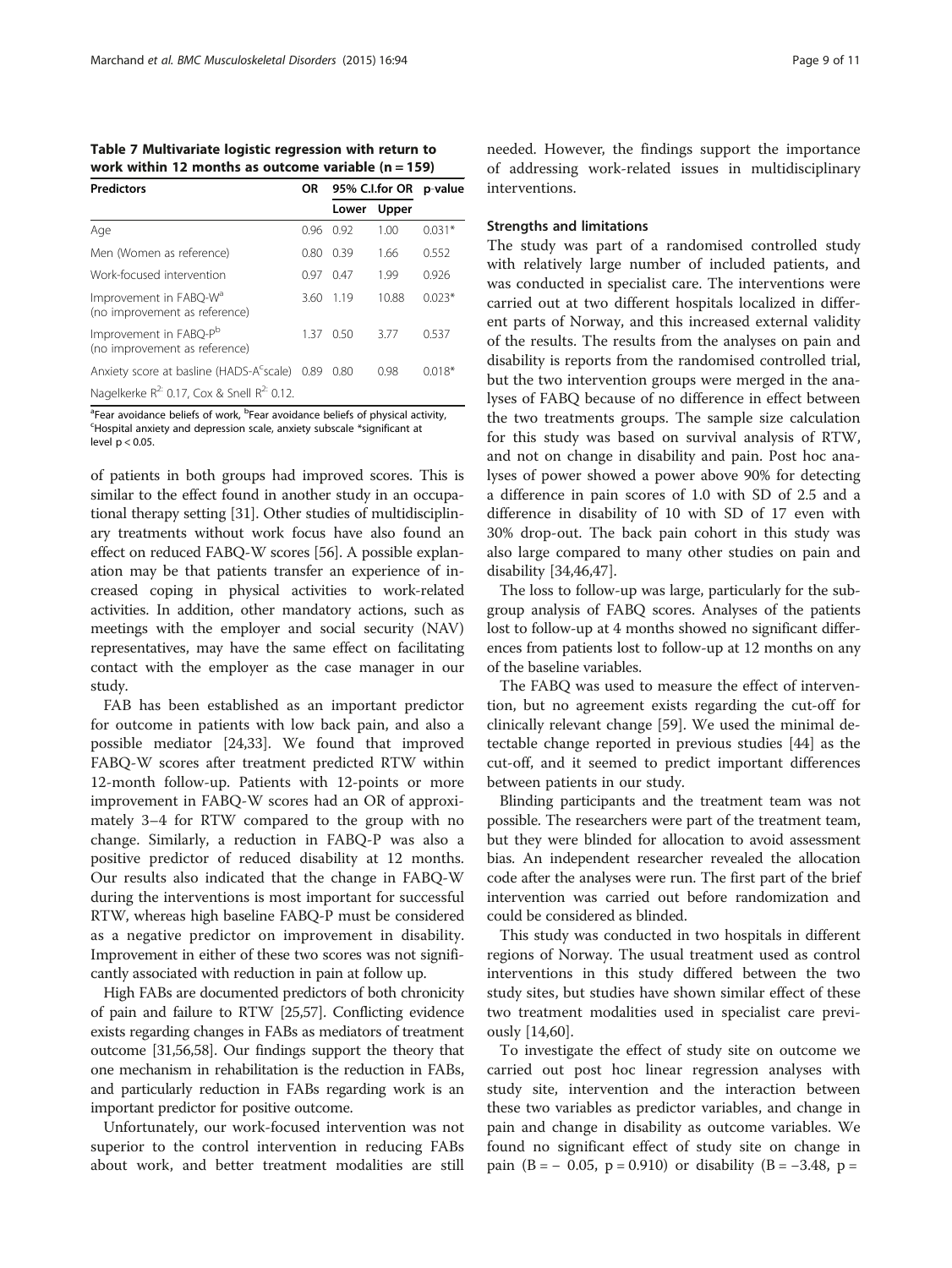<span id="page-8-0"></span>Table 7 Multivariate logistic regression with return to work within 12 months as outcome variable  $(n = 159)$ 

| <b>Predictors</b>                                                   | <b>OR</b> | 95% C.I.for OR |       | p-value  |  |
|---------------------------------------------------------------------|-----------|----------------|-------|----------|--|
|                                                                     |           | Lower          | Upper |          |  |
| Age                                                                 | 0.96      | 0.92           | 1.00  | $0.031*$ |  |
| Men (Women as reference)                                            | 0.80      | 0.39           | 1.66  | 0.552    |  |
| Work-focused intervention                                           | በ 97      | 0.47           | 1.99  | 0.926    |  |
| Improvement in FABQ-W <sup>d</sup><br>(no improvement as reference) | 3.60      | 119            | 10.88 | $0.023*$ |  |
| Improvement in FABQ-P <sup>b</sup><br>(no improvement as reference) | 137       | 0.50           | 3.77  | 0.537    |  |
| Anxiety score at basline (HADS-A <sup>c</sup> scale) 0.89           |           | 0.80           | 0.98  | $0.018*$ |  |
| Nagelkerke $R^{2}$ : 0.17, Cox & Snell $R^{2}$ : 0.12.              |           |                |       |          |  |

<sup>a</sup> Fear avoidance beliefs of work, <sup>b</sup> Fear avoidance beliefs of physical activity,<br>Shornital anxiety and depression scale, anxiety subscale \*significant at Hospital anxiety and depression scale, anxiety subscale \*significant at level  $p < 0.05$ .

of patients in both groups had improved scores. This is similar to the effect found in another study in an occupational therapy setting [\[31\]](#page-10-0). Other studies of multidisciplinary treatments without work focus have also found an effect on reduced FABQ-W scores [[56](#page-10-0)]. A possible explanation may be that patients transfer an experience of increased coping in physical activities to work-related activities. In addition, other mandatory actions, such as meetings with the employer and social security (NAV) representatives, may have the same effect on facilitating contact with the employer as the case manager in our study.

FAB has been established as an important predictor for outcome in patients with low back pain, and also a possible mediator [[24,33\]](#page-10-0). We found that improved FABQ-W scores after treatment predicted RTW within 12-month follow-up. Patients with 12-points or more improvement in FABQ-W scores had an OR of approximately 3–4 for RTW compared to the group with no change. Similarly, a reduction in FABQ-P was also a positive predictor of reduced disability at 12 months. Our results also indicated that the change in FABQ-W during the interventions is most important for successful RTW, whereas high baseline FABQ-P must be considered as a negative predictor on improvement in disability. Improvement in either of these two scores was not significantly associated with reduction in pain at follow up.

High FABs are documented predictors of both chronicity of pain and failure to RTW [\[25,57](#page-10-0)]. Conflicting evidence exists regarding changes in FABs as mediators of treatment outcome [\[31,56,58\]](#page-10-0). Our findings support the theory that one mechanism in rehabilitation is the reduction in FABs, and particularly reduction in FABs regarding work is an important predictor for positive outcome.

Unfortunately, our work-focused intervention was not superior to the control intervention in reducing FABs about work, and better treatment modalities are still

needed. However, the findings support the importance of addressing work-related issues in multidisciplinary interventions.

# Strengths and limitations

The study was part of a randomised controlled study with relatively large number of included patients, and was conducted in specialist care. The interventions were carried out at two different hospitals localized in different parts of Norway, and this increased external validity of the results. The results from the analyses on pain and disability is reports from the randomised controlled trial, but the two intervention groups were merged in the analyses of FABQ because of no difference in effect between the two treatments groups. The sample size calculation for this study was based on survival analysis of RTW, and not on change in disability and pain. Post hoc analyses of power showed a power above 90% for detecting a difference in pain scores of 1.0 with SD of 2.5 and a difference in disability of 10 with SD of 17 even with 30% drop-out. The back pain cohort in this study was also large compared to many other studies on pain and disability [\[34,46,47\]](#page-10-0).

The loss to follow-up was large, particularly for the subgroup analysis of FABQ scores. Analyses of the patients lost to follow-up at 4 months showed no significant differences from patients lost to follow-up at 12 months on any of the baseline variables.

The FABQ was used to measure the effect of intervention, but no agreement exists regarding the cut-off for clinically relevant change [[59](#page-10-0)]. We used the minimal detectable change reported in previous studies [[44\]](#page-10-0) as the cut-off, and it seemed to predict important differences between patients in our study.

Blinding participants and the treatment team was not possible. The researchers were part of the treatment team, but they were blinded for allocation to avoid assessment bias. An independent researcher revealed the allocation code after the analyses were run. The first part of the brief intervention was carried out before randomization and could be considered as blinded.

This study was conducted in two hospitals in different regions of Norway. The usual treatment used as control interventions in this study differed between the two study sites, but studies have shown similar effect of these two treatment modalities used in specialist care previously [[14,](#page-9-0)[60\]](#page-10-0).

To investigate the effect of study site on outcome we carried out post hoc linear regression analyses with study site, intervention and the interaction between these two variables as predictor variables, and change in pain and change in disability as outcome variables. We found no significant effect of study site on change in pain (B =  $-$  0.05, p = 0.910) or disability (B =  $-3.48$ , p =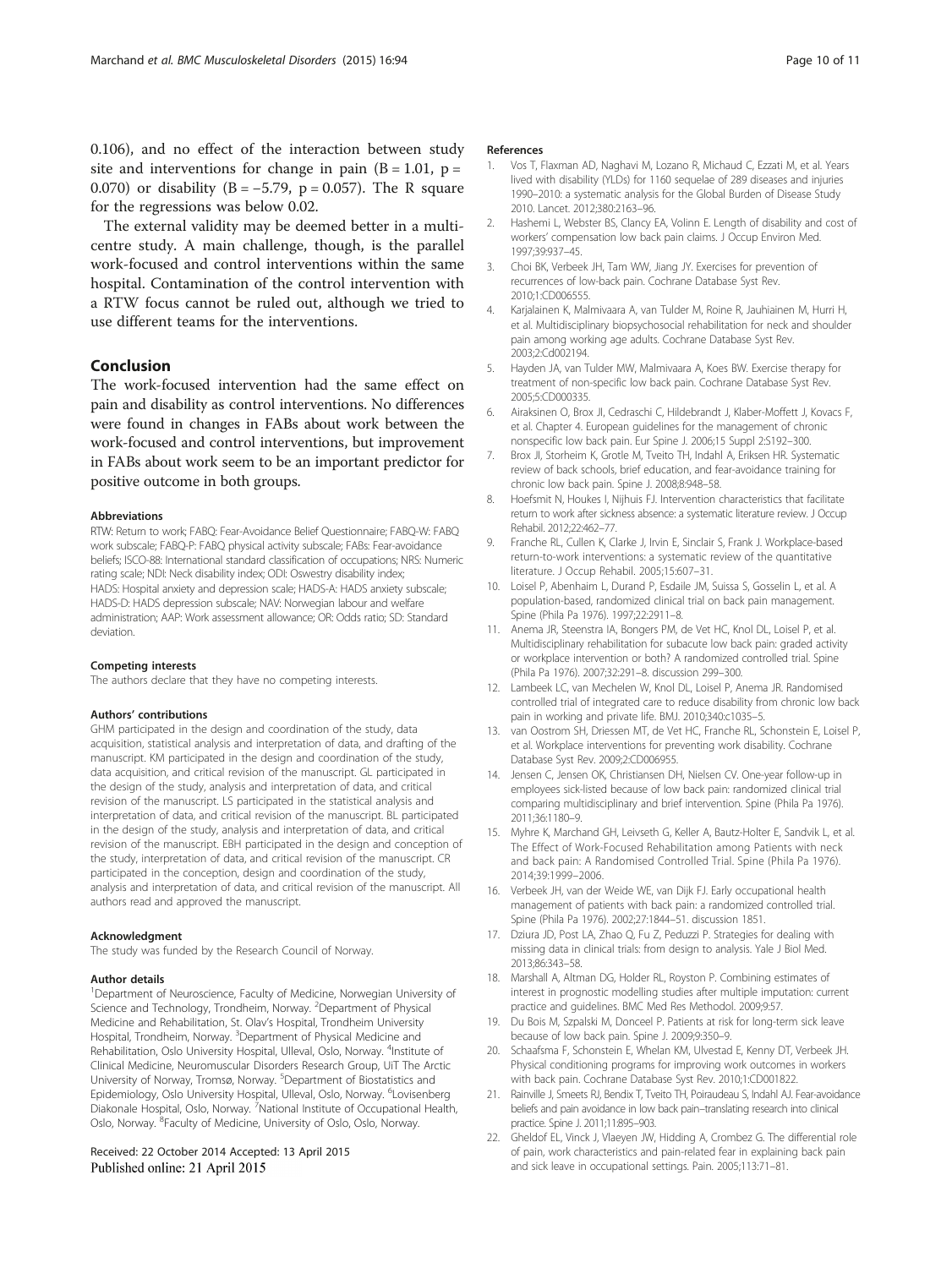<span id="page-9-0"></span>0.106), and no effect of the interaction between study site and interventions for change in pain  $(B = 1.01, p =$ 0.070) or disability (B =  $-5.79$ , p = 0.057). The R square for the regressions was below 0.02.

The external validity may be deemed better in a multicentre study. A main challenge, though, is the parallel work-focused and control interventions within the same hospital. Contamination of the control intervention with a RTW focus cannot be ruled out, although we tried to use different teams for the interventions.

## Conclusion

The work-focused intervention had the same effect on pain and disability as control interventions. No differences were found in changes in FABs about work between the work-focused and control interventions, but improvement in FABs about work seem to be an important predictor for positive outcome in both groups.

#### Abbreviations

RTW: Return to work; FABQ: Fear-Avoidance Belief Questionnaire; FABQ-W: FABQ work subscale; FABQ-P: FABQ physical activity subscale; FABs: Fear-avoidance beliefs; ISCO-88: International standard classification of occupations; NRS: Numeric rating scale; NDI: Neck disability index; ODI: Oswestry disability index; HADS: Hospital anxiety and depression scale; HADS-A: HADS anxiety subscale; HADS-D: HADS depression subscale; NAV: Norwegian labour and welfare administration; AAP: Work assessment allowance; OR: Odds ratio; SD: Standard deviation.

#### Competing interests

The authors declare that they have no competing interests.

#### Authors' contributions

GHM participated in the design and coordination of the study, data acquisition, statistical analysis and interpretation of data, and drafting of the manuscript. KM participated in the design and coordination of the study, data acquisition, and critical revision of the manuscript. GL participated in the design of the study, analysis and interpretation of data, and critical revision of the manuscript. LS participated in the statistical analysis and interpretation of data, and critical revision of the manuscript. BL participated in the design of the study, analysis and interpretation of data, and critical revision of the manuscript. EBH participated in the design and conception of the study, interpretation of data, and critical revision of the manuscript. CR participated in the conception, design and coordination of the study, analysis and interpretation of data, and critical revision of the manuscript. All authors read and approved the manuscript.

#### Acknowledgment

The study was funded by the Research Council of Norway.

#### Author details

<sup>1</sup>Department of Neuroscience, Faculty of Medicine, Norwegian University of Science and Technology, Trondheim, Norway. <sup>2</sup>Department of Physical Medicine and Rehabilitation, St. Olav's Hospital, Trondheim University Hospital, Trondheim, Norway. <sup>3</sup>Department of Physical Medicine and Rehabilitation, Oslo University Hospital, Ulleval, Oslo, Norway. <sup>4</sup>Institute of Clinical Medicine, Neuromuscular Disorders Research Group, UiT The Arctic University of Norway, Tromsø, Norway. <sup>5</sup>Department of Biostatistics and Epidemiology, Oslo University Hospital, Ulleval, Oslo, Norway. <sup>6</sup>Lovisenberg Diakonale Hospital, Oslo, Norway. <sup>7</sup>National Institute of Occupational Health, Oslo, Norway. <sup>8</sup>Faculty of Medicine, University of Oslo, Oslo, Norway.

#### Received: 22 October 2014 Accepted: 13 April 2015 Published online: 21 April 2015

# References

- 1. Vos T, Flaxman AD, Naghavi M, Lozano R, Michaud C, Ezzati M, et al. Years lived with disability (YLDs) for 1160 sequelae of 289 diseases and injuries 1990–2010: a systematic analysis for the Global Burden of Disease Study 2010. Lancet. 2012;380:2163–96.
- 2. Hashemi L, Webster BS, Clancy EA, Volinn E. Length of disability and cost of workers' compensation low back pain claims. J Occup Environ Med. 1997;39:937–45.
- 3. Choi BK, Verbeek JH, Tam WW, Jiang JY. Exercises for prevention of recurrences of low-back pain. Cochrane Database Syst Rev. 2010;1:CD006555.
- 4. Karjalainen K, Malmivaara A, van Tulder M, Roine R, Jauhiainen M, Hurri H, et al. Multidisciplinary biopsychosocial rehabilitation for neck and shoulder pain among working age adults. Cochrane Database Syst Rev. 2003;2:Cd002194.
- 5. Hayden JA, van Tulder MW, Malmivaara A, Koes BW. Exercise therapy for treatment of non-specific low back pain. Cochrane Database Syst Rev. 2005;5:CD000335.
- 6. Airaksinen O, Brox JI, Cedraschi C, Hildebrandt J, Klaber-Moffett J, Kovacs F, et al. Chapter 4. European guidelines for the management of chronic nonspecific low back pain. Eur Spine J. 2006;15 Suppl 2:S192–300.
- 7. Brox JI, Storheim K, Grotle M, Tveito TH, Indahl A, Eriksen HR. Systematic review of back schools, brief education, and fear-avoidance training for chronic low back pain. Spine J. 2008;8:948–58.
- 8. Hoefsmit N, Houkes I, Nijhuis FJ. Intervention characteristics that facilitate return to work after sickness absence: a systematic literature review. J Occup Rehabil. 2012;22:462–77.
- 9. Franche RL, Cullen K, Clarke J, Irvin E, Sinclair S, Frank J. Workplace-based return-to-work interventions: a systematic review of the quantitative literature. J Occup Rehabil. 2005;15:607–31.
- 10. Loisel P, Abenhaim L, Durand P, Esdaile JM, Suissa S, Gosselin L, et al. A population-based, randomized clinical trial on back pain management. Spine (Phila Pa 1976). 1997;22:2911–8.
- 11. Anema JR, Steenstra IA, Bongers PM, de Vet HC, Knol DL, Loisel P, et al. Multidisciplinary rehabilitation for subacute low back pain: graded activity or workplace intervention or both? A randomized controlled trial. Spine (Phila Pa 1976). 2007;32:291–8. discussion 299–300.
- 12. Lambeek LC, van Mechelen W, Knol DL, Loisel P, Anema JR. Randomised controlled trial of integrated care to reduce disability from chronic low back pain in working and private life. BMJ. 2010;340:c1035–5.
- 13. van Oostrom SH, Driessen MT, de Vet HC, Franche RL, Schonstein E, Loisel P, et al. Workplace interventions for preventing work disability. Cochrane Database Syst Rev. 2009;2:CD006955.
- 14. Jensen C, Jensen OK, Christiansen DH, Nielsen CV. One-year follow-up in employees sick-listed because of low back pain: randomized clinical trial comparing multidisciplinary and brief intervention. Spine (Phila Pa 1976). 2011;36:1180–9.
- 15. Myhre K, Marchand GH, Leivseth G, Keller A, Bautz-Holter E, Sandvik L, et al. The Effect of Work-Focused Rehabilitation among Patients with neck and back pain: A Randomised Controlled Trial. Spine (Phila Pa 1976). 2014;39:1999–2006.
- 16. Verbeek JH, van der Weide WE, van Dijk FJ. Early occupational health management of patients with back pain: a randomized controlled trial. Spine (Phila Pa 1976). 2002;27:1844–51. discussion 1851.
- 17. Dziura JD, Post LA, Zhao Q, Fu Z, Peduzzi P. Strategies for dealing with missing data in clinical trials: from design to analysis. Yale J Biol Med. 2013;86:343–58.
- 18. Marshall A, Altman DG, Holder RL, Royston P. Combining estimates of interest in prognostic modelling studies after multiple imputation: current practice and guidelines. BMC Med Res Methodol. 2009;9:57.
- 19. Du Bois M, Szpalski M, Donceel P. Patients at risk for long-term sick leave because of low back pain. Spine J. 2009;9:350–9.
- 20. Schaafsma F, Schonstein E, Whelan KM, Ulvestad E, Kenny DT, Verbeek JH. Physical conditioning programs for improving work outcomes in workers with back pain. Cochrane Database Syst Rev. 2010;1:CD001822.
- 21. Rainville J, Smeets RJ, Bendix T, Tveito TH, Poiraudeau S, Indahl AJ. Fear-avoidance beliefs and pain avoidance in low back pain–translating research into clinical practice. Spine J. 2011;11:895–903.
- 22. Gheldof EL, Vinck J, Vlaeyen JW, Hidding A, Crombez G. The differential role of pain, work characteristics and pain-related fear in explaining back pain and sick leave in occupational settings. Pain. 2005;113:71–81.